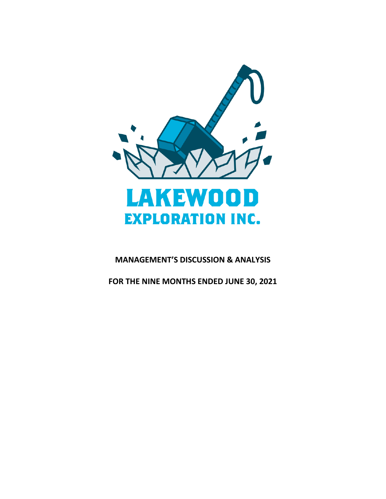

# **MANAGEMENT'S DISCUSSION & ANALYSIS**

**FOR THE NINE MONTHS ENDED JUNE 30, 2021**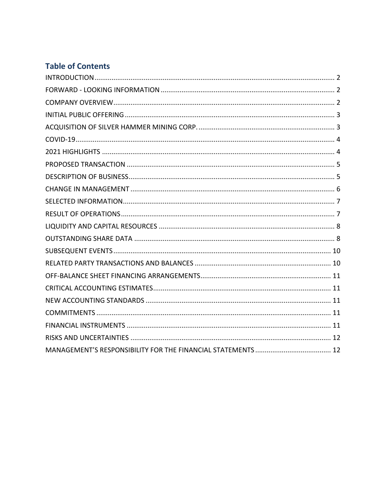# **Table of Contents**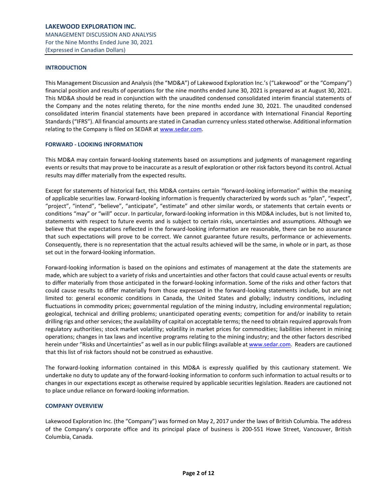## <span id="page-2-0"></span>**INTRODUCTION**

This Management Discussion and Analysis (the "MD&A") of Lakewood Exploration Inc.'s ("Lakewood" or the "Company") financial position and results of operations for the nine months ended June 30, 2021 is prepared as at August 30, 2021. This MD&A should be read in conjunction with the unaudited condensed consolidated interim financial statements of the Company and the notes relating thereto, for the nine months ended June 30, 2021. The unaudited condensed consolidated interim financial statements have been prepared in accordance with International Financial Reporting Standards ("IFRS"). All financial amounts are stated in Canadian currency unless stated otherwise. Additional information relating to the Company is filed on SEDAR a[t www.sedar.com.](http://www.sedar.com/)

#### <span id="page-2-1"></span>**FORWARD - LOOKING INFORMATION**

This MD&A may contain forward-looking statements based on assumptions and judgments of management regarding events or results that may prove to be inaccurate as a result of exploration or other risk factors beyond its control. Actual results may differ materially from the expected results.

Except for statements of historical fact, this MD&A contains certain "forward-looking information" within the meaning of applicable securities law. Forward-looking information is frequently characterized by words such as "plan", "expect", "project", "intend", "believe", "anticipate", "estimate" and other similar words, or statements that certain events or conditions "may" or "will" occur. In particular, forward-looking information in this MD&A includes, but is not limited to, statements with respect to future events and is subject to certain risks, uncertainties and assumptions. Although we believe that the expectations reflected in the forward-looking information are reasonable, there can be no assurance that such expectations will prove to be correct. We cannot guarantee future results, performance or achievements. Consequently, there is no representation that the actual results achieved will be the same, in whole or in part, as those set out in the forward-looking information.

Forward-looking information is based on the opinions and estimates of management at the date the statements are made, which are subject to a variety of risks and uncertainties and other factors that could cause actual events or results to differ materially from those anticipated in the forward-looking information. Some of the risks and other factors that could cause results to differ materially from those expressed in the forward-looking statements include, but are not limited to: general economic conditions in Canada, the United States and globally; industry conditions, including fluctuations in commodity prices; governmental regulation of the mining industry, including environmental regulation; geological, technical and drilling problems; unanticipated operating events; competition for and/or inability to retain drilling rigs and other services; the availability of capital on acceptable terms; the need to obtain required approvals from regulatory authorities; stock market volatility; volatility in market prices for commodities; liabilities inherent in mining operations; changes in tax laws and incentive programs relating to the mining industry; and the other factors described herein under "Risks and Uncertainties" as well as in our public filings available a[t www.sedar.com.](http://www.sedar.com/) Readers are cautioned that this list of risk factors should not be construed as exhaustive.

The forward-looking information contained in this MD&A is expressly qualified by this cautionary statement. We undertake no duty to update any of the forward-looking information to conform such information to actual results or to changes in our expectations except as otherwise required by applicable securities legislation. Readers are cautioned not to place undue reliance on forward-looking information.

#### <span id="page-2-2"></span>**COMPANY OVERVIEW**

Lakewood Exploration Inc. (the "Company") was formed on May 2, 2017 under the laws of British Columbia. The address of the Company's corporate office and its principal place of business is 200-551 Howe Street, Vancouver, British Columbia, Canada.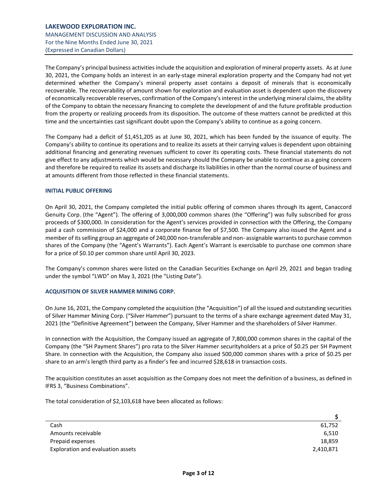The Company's principal business activities include the acquisition and exploration of mineral property assets. As at June 30, 2021, the Company holds an interest in an early-stage mineral exploration property and the Company had not yet determined whether the Company's mineral property asset contains a deposit of minerals that is economically recoverable. The recoverability of amount shown for exploration and evaluation asset is dependent upon the discovery of economically recoverable reserves, confirmation of the Company's interest in the underlying mineral claims, the ability of the Company to obtain the necessary financing to complete the development of and the future profitable production from the property or realizing proceeds from its disposition. The outcome of these matters cannot be predicted at this time and the uncertainties cast significant doubt upon the Company's ability to continue as a going concern.

The Company had a deficit of \$1,451,205 as at June 30, 2021, which has been funded by the issuance of equity. The Company's ability to continue its operations and to realize its assets at their carrying values is dependent upon obtaining additional financing and generating revenues sufficient to cover its operating costs. These financial statements do not give effect to any adjustments which would be necessary should the Company be unable to continue as a going concern and therefore be required to realize its assets and discharge its liabilities in other than the normal course of business and at amounts different from those reflected in these financial statements.

## <span id="page-3-0"></span>**INITIAL PUBLIC OFFERING**

On April 30, 2021, the Company completed the initial public offering of common shares through its agent, Canaccord Genuity Corp. (the "Agent"). The offering of 3,000,000 common shares (the "Offering") was fully subscribed for gross proceeds of \$300,000. In consideration for the Agent's services provided in connection with the Offering, the Company paid a cash commission of \$24,000 and a corporate finance fee of \$7,500. The Company also issued the Agent and a member of its selling group an aggregate of 240,000 non-transferable and non- assignable warrants to purchase common shares of the Company (the "Agent's Warrants"). Each Agent's Warrant is exercisable to purchase one common share for a price of \$0.10 per common share until April 30, 2023.

The Company's common shares were listed on the Canadian Securities Exchange on April 29, 2021 and began trading under the symbol "LWD" on May 3, 2021 (the "Listing Date").

# <span id="page-3-1"></span>**ACQUISITION OF SILVER HAMMER MINING CORP.**

On June 16, 2021, the Company completed the acquisition (the "Acquisition") of all the issued and outstanding securities of Silver Hammer Mining Corp. ("Silver Hammer") pursuant to the terms of a share exchange agreement dated May 31, 2021 (the "Definitive Agreement") between the Company, Silver Hammer and the shareholders of Silver Hammer.

In connection with the Acquisition, the Company issued an aggregate of 7,800,000 common shares in the capital of the Company (the "SH Payment Shares") pro rata to the Silver Hammer securityholders at a price of \$0.25 per SH Payment Share. In connection with the Acquisition, the Company also issued 500,000 common shares with a price of \$0.25 per share to an arm's length third party as a finder's fee and incurred \$28,618 in transaction costs.

The acquisition constitutes an asset acquisition as the Company does not meet the definition of a business, as defined in IFRS 3, "Business Combinations".

The total consideration of \$2,103,618 have been allocated as follows:

| Cash                              | 61.752    |
|-----------------------------------|-----------|
| Amounts receivable                | 6.510     |
| Prepaid expenses                  | 18,859    |
| Exploration and evaluation assets | 2,410,871 |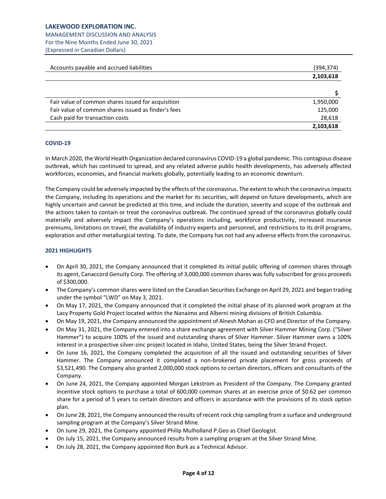MANAGEMENT DISCUSSION AND ANALYSIS For the Nine Months Ended June 30, 2021 (Expressed in Canadian Dollars)

| Accounts payable and accrued liabilities            | (394,374) |
|-----------------------------------------------------|-----------|
|                                                     | 2,103,618 |
|                                                     |           |
| Fair value of common shares issued for acquisition  | 1,950,000 |
| Fair value of common shares issued as finder's fees | 125,000   |
| Cash paid for transaction costs                     | 28,618    |
|                                                     | 2,103,618 |

# <span id="page-4-0"></span>**COVID-19**

In March 2020, the World Health Organization declared coronavirus COVID-19 a global pandemic. This contagious disease outbreak, which has continued to spread, and any related adverse public health developments, has adversely affected workforces, economies, and financial markets globally, potentially leading to an economic downturn.

The Company could be adversely impacted by the effects of the coronavirus. The extent to which the coronavirus impacts the Company, including its operations and the market for its securities, will depend on future developments, which are highly uncertain and cannot be predicted at this time, and include the duration, severity and scope of the outbreak and the actions taken to contain or treat the coronavirus outbreak. The continued spread of the coronavirus globally could materially and adversely impact the Company's operations including, workforce productivity, increased insurance premiums, limitations on travel, the availability of industry experts and personnel, and restrictions to its drill programs, exploration and other metallurgical testing. To date, the Company has not had any adverse effects from the coronavirus.

# <span id="page-4-1"></span>**2021 HIGHLIGHTS**

- On April 30, 2021, the Company announced that it completed its initial public offering of common shares through its agent, Canaccord Genuity Corp. The offering of 3,000,000 common shares was fully subscribed for gross proceeds of \$300,000.
- The Company's common shares were listed on the Canadian Securities Exchange on April 29, 2021 and began trading under the symbol "LWD" on May 3, 2021.
- On May 17, 2021, the Company announced that it completed the initial phase of its planned work program at the Lacy Property Gold Project located within the Nanaimo and Alberni mining divisions of British Columbia.
- On May 19, 2021, the Company announced the appointment of Alnesh Mohan as CFO and Director of the Company.
- On May 31, 2021, the Company entered into a share exchange agreement with Silver Hammer Mining Corp. ("Silver Hammer") to acquire 100% of the issued and outstanding shares of Silver Hammer. Silver Hammer owns a 100% interest in a prospective silver-zinc project located in Idaho, United States, being the Silver Strand Project.
- On June 16, 2021, the Company completed the acquisition of all the issued and outstanding securities of Silver Hammer. The Company announced it completed a non-brokered private placement for gross proceeds of \$3,521,490. The Company also granted 2,000,000 stock options to certain directors, officers and consultants of the Company.
- On June 24, 2021, the Company appointed Morgan Lekstrom as President of the Company. The Company granted incentive stock options to purchase a total of 600,000 common shares at an exercise price of \$0.62 per common share for a period of 5 years to certain directors and officers in accordance with the provisions of its stock option plan.
- On June 28, 2021, the Company announced the results of recent rock chip sampling from a surface and underground sampling program at the Company's Silver Strand Mine.
- On June 29, 2021, the Company appointed Philip Mulholland P.Geo as Chief Geologist.
- On July 15, 2021, the Company announced results from a sampling program at the Silver Strand Mine.
- On July 28, 2021, the Company appointed Ron Burk as a Technical Advisor.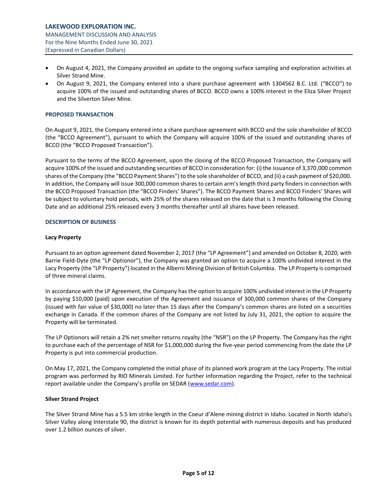- On August 4, 2021, the Company provided an update to the ongoing surface sampling and exploration activities at Silver Strand Mine.
- On August 9, 2021, the Company entered into a share purchase agreement with 1304562 B.C. Ltd. ("BCCO") to acquire 100% of the issued and outstanding shares of BCCO. BCCO owns a 100% interest in the Eliza Silver Project and the Silverton Silver Mine.

## <span id="page-5-0"></span>**PROPOSED TRANSACTION**

On August 9, 2021, the Company entered into a share purchase agreement with BCCO and the sole shareholder of BCCO (the "BCCO Agreement"), pursuant to which the Company will acquire 100% of the issued and outstanding shares of BCCO (the "BCCO Proposed Transaction").

Pursuant to the terms of the BCCO Agreement, upon the closing of the BCCO Proposed Transaction, the Company will acquire 100% of the issued and outstanding securities of BCCO in consideration for: (i) the issuance of 3,370,000 common shares of the Company (the "BCCO Payment Shares") to the sole shareholder of BCCO, and (ii) a cash payment of \$20,000. In addition, the Company will issue 300,000 common shares to certain arm's length third party finders in connection with the BCCO Proposed Transaction (the "BCCO Finders' Shares"). The BCCO Payment Shares and BCCO Finders' Shares will be subject to voluntary hold periods, with 25% of the shares released on the date that is 3 months following the Closing Date and an additional 25% released every 3 months thereafter until all shares have been released.

# <span id="page-5-1"></span>**DESCRIPTION OF BUSINESS**

## **Lacy Property**

Pursuant to an option agreement dated November 2, 2017 (the "LP Agreement") and amended on October 8, 2020, with Barrie Field-Dyte (the "LP Optionor"), the Company was granted an option to acquire a 100% undivided interest in the Lacy Property (the "LP Property") located in the Alberni Mining Division of British Columbia. The LP Property is comprised of three mineral claims.

In accordance with the LP Agreement, the Company has the option to acquire 100% undivided interest in the LP Property by paying \$10,000 (paid) upon execution of the Agreement and issuance of 300,000 common shares of the Company (issued with fair value of \$30,000) no later than 15 days after the Company's common shares are listed on a securities exchange in Canada. If the common shares of the Company are not listed by July 31, 2021, the option to acquire the Property will be terminated.

The LP Optionors will retain a 2% net smelter returns royalty (the "NSR") on the LP Property. The Company has the right to purchase each of the percentage of NSR for \$1,000,000 during the five-year period commencing from the date the LP Property is put into commercial production.

On May 17, 2021, the Company completed the initial phase of its planned work program at the Lacy Property. The initial program was performed by RIO Minerals Limited. For further information regarding the Project, refer to the technical report available under the Company's profile on SEDAR ([www.sedar.com\)](http://www.sedar.com/).

## **Silver Strand Project**

The Silver Strand Mine has a 5.5 km strike length in the Coeur d'Alene mining district in Idaho. Located in North Idaho's Silver Valley along Interstate 90, the district is known for its depth potential with numerous deposits and has produced over 1.2 billion ounces of silver.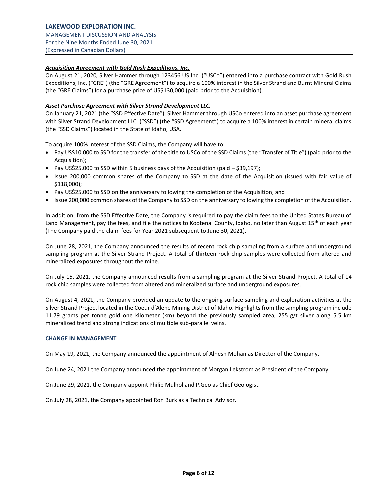# **LAKEWOOD EXPLORATION INC.**

MANAGEMENT DISCUSSION AND ANALYSIS For the Nine Months Ended June 30, 2021 (Expressed in Canadian Dollars)

# *Acquisition Agreement with Gold Rush Expeditions, Inc.*

On August 21, 2020, Silver Hammer through 123456 US Inc. ("USCo") entered into a purchase contract with Gold Rush Expeditions, Inc. ("GRE") (the "GRE Agreement") to acquire a 100% interest in the Silver Strand and Burnt Mineral Claims (the "GRE Claims") for a purchase price of US\$130,000 (paid prior to the Acquisition).

# *Asset Purchase Agreement with Silver Strand Development LLC.*

On January 21, 2021 (the "SSD Effective Date"), Silver Hammer through USCo entered into an asset purchase agreement with Silver Strand Development LLC. ("SSD") (the "SSD Agreement") to acquire a 100% interest in certain mineral claims (the "SSD Claims") located in the State of Idaho, USA.

To acquire 100% interest of the SSD Claims, the Company will have to:

- Pay US\$10,000 to SSD for the transfer of the title to USCo of the SSD Claims (the "Transfer of Title") (paid prior to the Acquisition);
- Pay US\$25,000 to SSD within 5 business days of the Acquisition (paid \$39,197);
- Issue 200,000 common shares of the Company to SSD at the date of the Acquisition (issued with fair value of \$118,000);
- Pay US\$25,000 to SSD on the anniversary following the completion of the Acquisition; and
- Issue 200,000 common shares of the Company to SSD on the anniversary following the completion of the Acquisition.

In addition, from the SSD Effective Date, the Company is required to pay the claim fees to the United States Bureau of Land Management, pay the fees, and file the notices to Kootenai County, Idaho, no later than August 15<sup>th</sup> of each year (The Company paid the claim fees for Year 2021 subsequent to June 30, 2021).

On June 28, 2021, the Company announced the results of recent rock chip sampling from a surface and underground sampling program at the Silver Strand Project. A total of thirteen rock chip samples were collected from altered and mineralized exposures throughout the mine.

On July 15, 2021, the Company announced results from a sampling program at the Silver Strand Project. A total of 14 rock chip samples were collected from altered and mineralized surface and underground exposures.

On August 4, 2021, the Company provided an update to the ongoing surface sampling and exploration activities at the Silver Strand Project located in the Coeur d'Alene Mining District of Idaho. Highlights from the sampling program include 11.79 grams per tonne gold one kilometer (km) beyond the previously sampled area, 255 g/t silver along 5.5 km mineralized trend and strong indications of multiple sub-parallel veins.

## <span id="page-6-0"></span>**CHANGE IN MANAGEMENT**

On May 19, 2021, the Company announced the appointment of Alnesh Mohan as Director of the Company.

On June 24, 2021 the Company announced the appointment of Morgan Lekstrom as President of the Company.

On June 29, 2021, the Company appoint Philip Mulholland P.Geo as Chief Geologist.

<span id="page-6-1"></span>On July 28, 2021, the Company appointed Ron Burk as a Technical Advisor.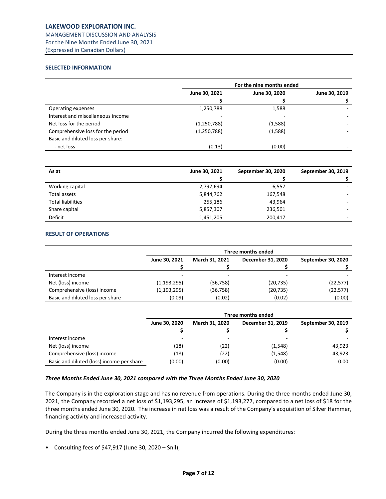# **LAKEWOOD EXPLORATION INC.**

MANAGEMENT DISCUSSION AND ANALYSIS For the Nine Months Ended June 30, 2021 (Expressed in Canadian Dollars)

# **SELECTED INFORMATION**

|                                   | For the nine months ended |               |               |
|-----------------------------------|---------------------------|---------------|---------------|
|                                   | June 30, 2021             | June 30, 2020 | June 30, 2019 |
|                                   |                           |               |               |
| Operating expenses                | 1,250,788                 | 1,588         |               |
| Interest and miscellaneous income |                           |               |               |
| Net loss for the period           | (1, 250, 788)             | (1,588)       |               |
| Comprehensive loss for the period | (1, 250, 788)             | (1,588)       |               |
| Basic and diluted loss per share: |                           |               |               |
| - net loss                        | (0.13)                    | (0.00)        |               |

| As at                    | June 30, 2021 | September 30, 2020 | September 30, 2019 |
|--------------------------|---------------|--------------------|--------------------|
|                          |               |                    |                    |
| Working capital          | 2,797,694     | 6,557              |                    |
| Total assets             | 5,844,762     | 167,548            | ۰                  |
| <b>Total liabilities</b> | 255,186       | 43,964             | ۰.                 |
| Share capital            | 5,857,307     | 236,501            | -                  |
| Deficit                  | 1,451,205     | 200,417            | -                  |

# <span id="page-7-0"></span>**RESULT OF OPERATIONS**

|                                  | Three months ended |                       |                   |                    |
|----------------------------------|--------------------|-----------------------|-------------------|--------------------|
|                                  | June 30, 2021      | <b>March 31, 2021</b> | December 31, 2020 | September 30, 2020 |
|                                  |                    |                       |                   |                    |
| Interest income                  | -                  |                       | -                 |                    |
| Net (loss) income                | (1, 193, 295)      | (36, 758)             | (20,735)          | (22, 577)          |
| Comprehensive (loss) income      | (1, 193, 295)      | (36, 758)             | (20, 735)         | (22, 577)          |
| Basic and diluted loss per share | (0.09)             | (0.02)                | (0.02)            | (0.00)             |

|                                           | Three months ended                                          |        |          |        |  |                    |
|-------------------------------------------|-------------------------------------------------------------|--------|----------|--------|--|--------------------|
|                                           | <b>March 31, 2020</b><br>December 31, 2019<br>June 30, 2020 |        |          |        |  | September 30, 2019 |
|                                           |                                                             |        |          |        |  |                    |
| Interest income                           | -                                                           | ۰      |          |        |  |                    |
| Net (loss) income                         | (18)                                                        | (22)   | (1, 548) | 43,923 |  |                    |
| Comprehensive (loss) income               | (18)                                                        | (22)   | (1, 548) | 43,923 |  |                    |
| Basic and diluted (loss) income per share | (0.00)                                                      | (0.00) | (0.00)   | 0.00   |  |                    |

# *Three Months Ended June 30, 2021 compared with the Three Months Ended June 30, 2020*

The Company is in the exploration stage and has no revenue from operations. During the three months ended June 30, 2021, the Company recorded a net loss of \$1,193,295, an increase of \$1,193,277, compared to a net loss of \$18 for the three months ended June 30, 2020. The increase in net loss was a result of the Company's acquisition of Silver Hammer, financing activity and increased activity.

During the three months ended June 30, 2021, the Company incurred the following expenditures:

• Consulting fees of \$47,917 (June 30, 2020 – \$nil);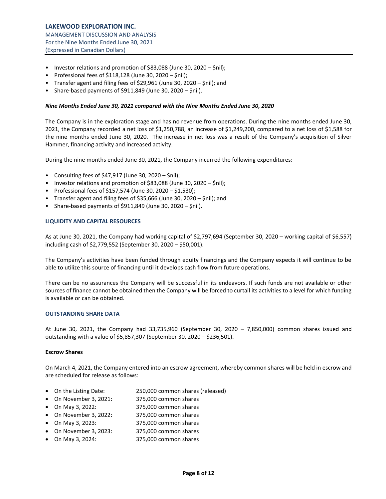- Investor relations and promotion of \$83,088 (June 30, 2020 \$nil);
- Professional fees of \$118,128 (June 30, 2020 \$nil);
- Transfer agent and filing fees of \$29,961 (June 30, 2020 \$nil); and
- Share-based payments of  $$911,849$  (June 30, 2020  $$nil$ ).

#### *Nine Months Ended June 30, 2021 compared with the Nine Months Ended June 30, 2020*

The Company is in the exploration stage and has no revenue from operations. During the nine months ended June 30, 2021, the Company recorded a net loss of \$1,250,788, an increase of \$1,249,200, compared to a net loss of \$1,588 for the nine months ended June 30, 2020. The increase in net loss was a result of the Company's acquisition of Silver Hammer, financing activity and increased activity.

During the nine months ended June 30, 2021, the Company incurred the following expenditures:

- Consulting fees of \$47,917 (June 30, 2020 \$nil);
- Investor relations and promotion of \$83,088 (June 30, 2020 \$nil);
- Professional fees of \$157,574 (June 30, 2020 \$1,530);
- Transfer agent and filing fees of \$35,666 (June 30, 2020 \$nil); and
- Share-based payments of \$911,849 (June 30, 2020 \$nil).

## <span id="page-8-0"></span>**LIQUIDITY AND CAPITAL RESOURCES**

As at June 30, 2021, the Company had working capital of \$2,797,694 (September 30, 2020 – working capital of \$6,557) including cash of \$2,779,552 (September 30, 2020 – \$50,001).

The Company's activities have been funded through equity financings and the Company expects it will continue to be able to utilize this source of financing until it develops cash flow from future operations.

There can be no assurances the Company will be successful in its endeavors. If such funds are not available or other sources of finance cannot be obtained then the Company will be forced to curtail its activities to a level for which funding is available or can be obtained.

## <span id="page-8-1"></span>**OUTSTANDING SHARE DATA**

At June 30, 2021, the Company had 33,735,960 (September 30, 2020 – 7,850,000) common shares issued and outstanding with a value of \$5,857,307 (September 30, 2020 – \$236,501).

#### **Escrow Shares**

On March 4, 2021, the Company entered into an escrow agreement, whereby common shares will be held in escrow and are scheduled for release as follows:

- On the Listing Date: 250,000 common shares (released)
- On November 3, 2021: 375,000 common shares
- On May 3, 2022: 375,000 common shares
- On November 3, 2022: 375,000 common shares
- On May 3, 2023: 375,000 common shares
- On November 3, 2023: 375,000 common shares
- On May 3, 2024: 375,000 common shares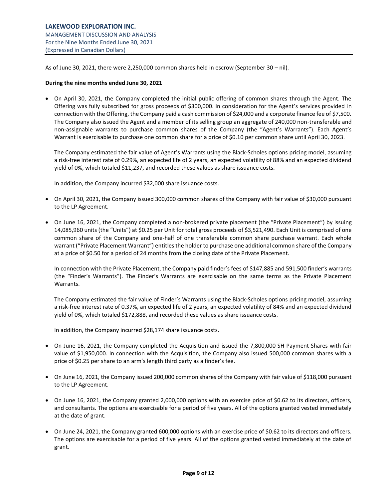As of June 30, 2021, there were 2,250,000 common shares held in escrow (September 30 – nil).

## **During the nine months ended June 30, 2021**

• On April 30, 2021, the Company completed the initial public offering of common shares through the Agent. The Offering was fully subscribed for gross proceeds of \$300,000. In consideration for the Agent's services provided in connection with the Offering, the Company paid a cash commission of \$24,000 and a corporate finance fee of \$7,500. The Company also issued the Agent and a member of its selling group an aggregate of 240,000 non-transferable and non-assignable warrants to purchase common shares of the Company (the "Agent's Warrants"). Each Agent's Warrant is exercisable to purchase one common share for a price of \$0.10 per common share until April 30, 2023.

The Company estimated the fair value of Agent's Warrants using the Black‐Scholes options pricing model, assuming a risk-free interest rate of 0.29%, an expected life of 2 years, an expected volatility of 88% and an expected dividend yield of 0%, which totaled \$11,237, and recorded these values as share issuance costs.

In addition, the Company incurred \$32,000 share issuance costs.

- On April 30, 2021, the Company issued 300,000 common shares of the Company with fair value of \$30,000 pursuant to the LP Agreement.
- On June 16, 2021, the Company completed a non-brokered private placement (the "Private Placement") by issuing 14,085,960 units (the "Units") at \$0.25 per Unit for total gross proceeds of \$3,521,490. Each Unit is comprised of one common share of the Company and one-half of one transferable common share purchase warrant. Each whole warrant ("Private Placement Warrant") entitles the holder to purchase one additional common share of the Company at a price of \$0.50 for a period of 24 months from the closing date of the Private Placement.

In connection with the Private Placement, the Company paid finder's fees of \$147,885 and 591,500 finder's warrants (the "Finder's Warrants"). The Finder's Warrants are exercisable on the same terms as the Private Placement Warrants.

The Company estimated the fair value of Finder's Warrants using the Black‐Scholes options pricing model, assuming a risk‐free interest rate of 0.37%, an expected life of 2 years, an expected volatility of 84% and an expected dividend yield of 0%, which totaled \$172,888, and recorded these values as share issuance costs.

In addition, the Company incurred \$28,174 share issuance costs.

- On June 16, 2021, the Company completed the Acquisition and issued the 7,800,000 SH Payment Shares with fair value of \$1,950,000. In connection with the Acquisition, the Company also issued 500,000 common shares with a price of \$0.25 per share to an arm's length third party as a finder's fee.
- On June 16, 2021, the Company issued 200,000 common shares of the Company with fair value of \$118,000 pursuant to the LP Agreement.
- On June 16, 2021, the Company granted 2,000,000 options with an exercise price of \$0.62 to its directors, officers, and consultants. The options are exercisable for a period of five years. All of the options granted vested immediately at the date of grant.
- On June 24, 2021, the Company granted 600,000 options with an exercise price of \$0.62 to its directors and officers. The options are exercisable for a period of five years. All of the options granted vested immediately at the date of grant.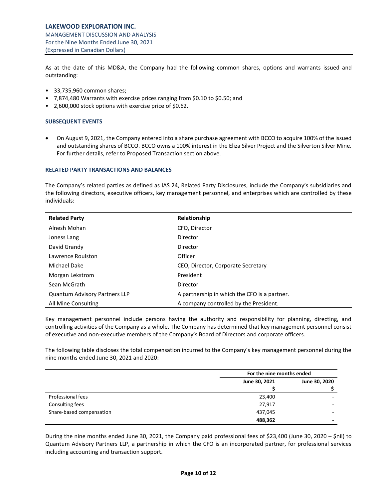As at the date of this MD&A, the Company had the following common shares, options and warrants issued and outstanding:

- 33,735,960 common shares;
- 7,874,480 Warrants with exercise prices ranging from \$0.10 to \$0.50; and
- 2,600,000 stock options with exercise price of \$0.62.

## <span id="page-10-0"></span>**SUBSEQUENT EVENTS**

• On August 9, 2021, the Company entered into a share purchase agreement with BCCO to acquire 100% of the issued and outstanding shares of BCCO. BCCO owns a 100% interest in the Eliza Silver Project and the Silverton Silver Mine. For further details, refer to Proposed Transaction section above.

# <span id="page-10-1"></span>**RELATED PARTY TRANSACTIONS AND BALANCES**

The Company's related parties as defined as IAS 24, Related Party Disclosures, include the Company's subsidiaries and the following directors, executive officers, key management personnel, and enterprises which are controlled by these individuals:

| <b>Related Party</b>                 | Relationship                                 |
|--------------------------------------|----------------------------------------------|
| Alnesh Mohan                         | CFO, Director                                |
| Joness Lang                          | Director                                     |
| David Grandy                         | Director                                     |
| Lawrence Roulston                    | Officer                                      |
| Michael Dake                         | CEO, Director, Corporate Secretary           |
| Morgan Lekstrom                      | President                                    |
| Sean McGrath                         | Director                                     |
| <b>Quantum Advisory Partners LLP</b> | A partnership in which the CFO is a partner. |
| All Mine Consulting                  | A company controlled by the President.       |

Key management personnel include persons having the authority and responsibility for planning, directing, and controlling activities of the Company as a whole. The Company has determined that key management personnel consist of executive and non-executive members of the Company's Board of Directors and corporate officers.

The following table discloses the total compensation incurred to the Company's key management personnel during the nine months ended June 30, 2021 and 2020:

|                          |               | For the nine months ended |  |
|--------------------------|---------------|---------------------------|--|
|                          | June 30, 2021 | June 30, 2020             |  |
|                          |               |                           |  |
| Professional fees        | 23,400        |                           |  |
| Consulting fees          | 27,917        |                           |  |
| Share-based compensation | 437.045       |                           |  |
|                          | 488,362       |                           |  |

During the nine months ended June 30, 2021, the Company paid professional fees of \$23,400 (June 30, 2020 – \$nil) to Quantum Advisory Partners LLP, a partnership in which the CFO is an incorporated partner, for professional services including accounting and transaction support.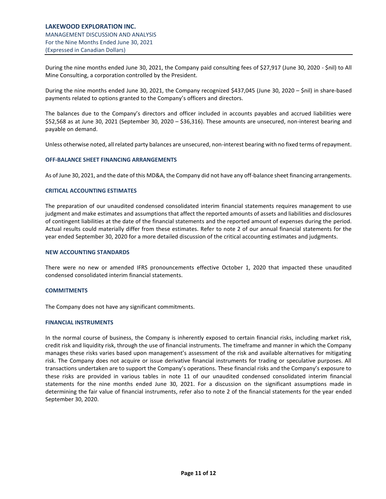During the nine months ended June 30, 2021, the Company paid consulting fees of \$27,917 (June 30, 2020 - \$nil) to All Mine Consulting, a corporation controlled by the President.

During the nine months ended June 30, 2021, the Company recognized \$437,045 (June 30, 2020 – \$nil) in share-based payments related to options granted to the Company's officers and directors.

The balances due to the Company's directors and officer included in accounts payables and accrued liabilities were \$52,568 as at June 30, 2021 (September 30, 2020 – \$36,316). These amounts are unsecured, non-interest bearing and payable on demand.

Unless otherwise noted, all related party balances are unsecured, non-interest bearing with no fixed terms of repayment.

## <span id="page-11-0"></span>**OFF-BALANCE SHEET FINANCING ARRANGEMENTS**

As of June 30, 2021, and the date of this MD&A, the Company did not have any off-balance sheet financing arrangements.

#### <span id="page-11-1"></span>**CRITICAL ACCOUNTING ESTIMATES**

The preparation of our unaudited condensed consolidated interim financial statements requires management to use judgment and make estimates and assumptions that affect the reported amounts of assets and liabilities and disclosures of contingent liabilities at the date of the financial statements and the reported amount of expenses during the period. Actual results could materially differ from these estimates. Refer to note 2 of our annual financial statements for the year ended September 30, 2020 for a more detailed discussion of the critical accounting estimates and judgments.

#### <span id="page-11-2"></span>**NEW ACCOUNTING STANDARDS**

There were no new or amended IFRS pronouncements effective October 1, 2020 that impacted these unaudited condensed consolidated interim financial statements.

#### <span id="page-11-3"></span>**COMMITMENTS**

The Company does not have any significant commitments.

#### <span id="page-11-4"></span>**FINANCIAL INSTRUMENTS**

In the normal course of business, the Company is inherently exposed to certain financial risks, including market risk, credit risk and liquidity risk, through the use of financial instruments. The timeframe and manner in which the Company manages these risks varies based upon management's assessment of the risk and available alternatives for mitigating risk. The Company does not acquire or issue derivative financial instruments for trading or speculative purposes. All transactions undertaken are to support the Company's operations. These financial risks and the Company's exposure to these risks are provided in various tables in note 11 of our unaudited condensed consolidated interim financial statements for the nine months ended June 30, 2021. For a discussion on the significant assumptions made in determining the fair value of financial instruments, refer also to note 2 of the financial statements for the year ended September 30, 2020.